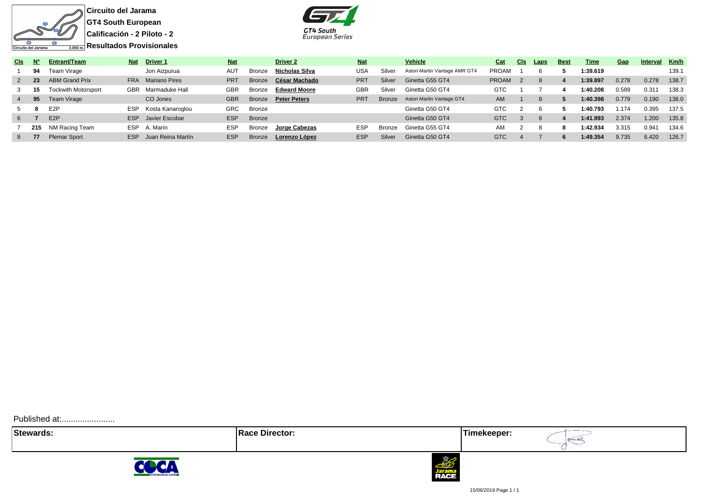

**Resultados Provisionales**



| CIs. | N'  | Entrant/Team        | Nat        | <b>Driver 1</b>   | <b>Nat</b> |               | <b>Driver 2</b>     | <b>Nat</b> |               | <b>Vehicle</b>               | Cat          | CI <sub>S</sub> | Laps | <b>Best</b> | Time     | Gap   | <b>Interval</b> | Km/h  |
|------|-----|---------------------|------------|-------------------|------------|---------------|---------------------|------------|---------------|------------------------------|--------------|-----------------|------|-------------|----------|-------|-----------------|-------|
|      | 94  | Team Virage         |            | Jon Aizpurua      | <b>AUT</b> | Bronze        | Nicholas Silva      | USA        | Silver        | Aston Martin Vantage AMR GT4 | <b>PROAM</b> |                 |      |             | 1:39.619 |       |                 | 139.  |
|      | -23 | ABM Grand Prix      | <b>FRA</b> | Mariano Pires     | <b>PRT</b> | Bronze        | César Machado       | <b>PRT</b> | Silver        | Ginetta G55 GT4              | <b>PROAM</b> |                 |      |             | 1:39.897 | 0.278 | 0.278           | 138.7 |
|      |     | Tockwith Motorsport | <b>GBR</b> | Marmaduke Hall    | <b>GBR</b> | Bronze        | <b>Edward Moore</b> | GBR        | Silver        | Ginetta G50 GT4              | <b>GTC</b>   |                 |      |             | 1:40.208 | 0.589 | 0.31'           | 138.3 |
|      | 95  | Team Virage         |            | CO Jones          | <b>GBR</b> | Bronze        | <b>Peter Peters</b> | <b>PRT</b> | <b>Bronze</b> | Aston Martin Vantage GT4     | AM.          |                 |      |             | 1:40.398 | 0.779 | 0.190           | 138.0 |
|      | -8  | E <sub>2</sub> P    | <b>ESP</b> | Kosta Kanaroglou  | <b>GRC</b> | Bronze        |                     |            |               | Ginetta G50 GT4              | GTC          |                 |      |             | 1:40.793 | 1.174 | 0.395           | 137.5 |
| 6    |     | E <sub>2</sub> P    | ESP        | Javier Escobar    | <b>ESP</b> | <b>Bronze</b> |                     |            |               | Ginetta G50 GT4              | <b>GTC</b>   |                 |      |             | 1:41.993 | 2.374 | 1.200           | 135.8 |
|      | 215 | NM Racing Team      | <b>ESP</b> | A. Marín          | <b>ESP</b> | Bronze        | Jorge Cabezas       | <b>ESP</b> | <b>Bronze</b> | Ginetta G55 GT4              | AM           |                 |      |             | 1:42.934 | 3.315 | 0.941           | 134.6 |
|      |     | <b>Plemar Sport</b> | <b>ESP</b> | Juan Reina Martín | <b>ESP</b> | <b>Bronze</b> | Lorenzo López       | <b>ESP</b> | Silver        | Ginetta G50 GT4              | GTC          |                 |      |             | 1:49.354 | 9.735 | 6.420           | 126.7 |

Published at:........................

**Stewards:** Timekeeper:

aniaz



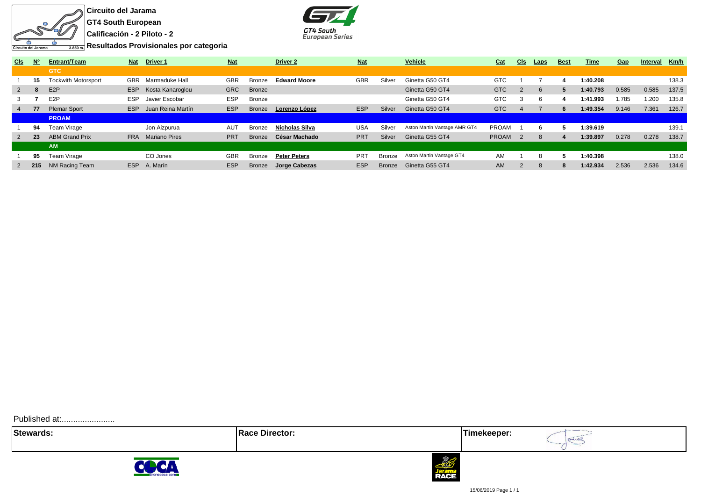



**Resultados Provisionales por categoria**

| <b>CIs</b>     | $N^{\circ}$ | <b>Entrant/Team</b>        | <b>Nat</b> | <b>Driver 1</b>      | <b>Nat</b> |               | <b>Driver 2</b>     | <b>Nat</b>      |               | Vehicle                      | Cat          | <u>CIs</u> | <b>Laps</b> | <b>Best</b> | Time     | Gap   | <b>Interval</b> | Km/h  |
|----------------|-------------|----------------------------|------------|----------------------|------------|---------------|---------------------|-----------------|---------------|------------------------------|--------------|------------|-------------|-------------|----------|-------|-----------------|-------|
|                |             | <b>GTC</b>                 |            |                      |            |               |                     |                 |               |                              |              |            |             |             |          |       |                 |       |
|                | 15          | <b>Tockwith Motorsport</b> | <b>GBR</b> | Marmaduke Hall       | <b>GBR</b> | Bronze        | <b>Edward Moore</b> | <b>GBR</b>      | Silver        | Ginetta G50 GT4              | <b>GTC</b>   |            |             |             | 1:40.208 |       |                 | 138.3 |
| $\mathbf{2}$   | -8          | E <sub>2</sub> P           | ESP        | Kosta Kanaroglou     | <b>GRC</b> | <b>Bronze</b> |                     |                 |               | Ginetta G50 GT4              | <b>GTC</b>   |            |             | 5           | 1:40.793 | 0.585 | 0.585           | 137.5 |
| 3              |             | E <sub>2</sub> P           | <b>ESP</b> | Javier Escobar       | <b>ESP</b> | <b>Bronze</b> |                     |                 |               | Ginetta G50 GT4              | <b>GTC</b>   | 3          |             |             | 1:41.993 | 1.785 | 1.200           | 135.8 |
| $\overline{4}$ | 77          | <b>Plemar Sport</b>        | <b>ESP</b> | Juan Reina Martín    | <b>ESP</b> | <b>Bronze</b> | Lorenzo López       | <b>ESP</b>      | Silver        | Ginetta G50 GT4              | <b>GTC</b>   |            |             | 6.          | 1:49.354 | 9.146 | 7.361           | 126.7 |
|                |             | <b>PROAM</b>               |            |                      |            |               |                     |                 |               |                              |              |            |             |             |          |       |                 |       |
|                | 94          | Team Virage                |            | Jon Aizpurua         | AUT        | Bronze        | Nicholas Silva      | <b>USA</b>      | Silver        | Aston Martin Vantage AMR GT4 | <b>PROAM</b> |            |             |             | 1:39.619 |       |                 | 139.1 |
| 2              | 23          | <b>ABM Grand Prix</b>      | <b>FRA</b> | <b>Mariano Pires</b> | <b>PRT</b> | <b>Bronze</b> | César Machado       | <b>PRT</b>      | Silver        | Ginetta G55 GT4              | <b>PROAM</b> |            |             |             | 1:39.897 | 0.278 | 0.278           | 138.7 |
|                |             | <b>AM</b>                  |            |                      |            |               |                     |                 |               |                              |              |            |             |             |          |       |                 |       |
|                | 95          | Team Virage                |            | CO Jones             | <b>GBR</b> | Bronze        | <b>Peter Peters</b> | PR <sub>1</sub> | Bronze        | Aston Martin Vantage GT4     | AM           |            |             | Ð.          | 1:40.398 |       |                 | 138.0 |
|                | 215         | NM Racing Team             | <b>ESP</b> | A. Marín             | <b>ESP</b> | <b>Bronze</b> | Jorge Cabezas       | <b>ESP</b>      | <b>Bronze</b> | Ginetta G55 GT4              | <b>AM</b>    |            | 8           | 8           | 1:42.934 | 2.536 | 2.536           | 134.6 |

Published at:........................

**Stewards:** Timekeeper:





15/06/2019 Page 1 / 1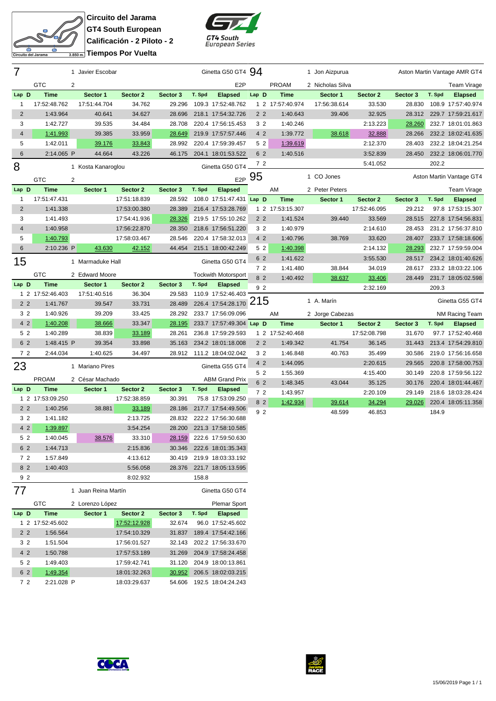

**Circuito del Jarama GT4 South European Calificación - 2 Piloto - 2 Tiempos Por Vuelta**



| 7                       |                             | 1 Javier Escobar    |                          |                    |        | Ginetta G50 GT4 94                         |                |                   | 1 Jon Aizpurua   |                          |          |        | Aston Martin Vantage AMR GT4        |
|-------------------------|-----------------------------|---------------------|--------------------------|--------------------|--------|--------------------------------------------|----------------|-------------------|------------------|--------------------------|----------|--------|-------------------------------------|
|                         | <b>GTC</b>                  | 2                   |                          |                    |        | E <sub>2</sub> P                           |                | <b>PROAM</b>      | 2 Nicholas Silva |                          |          |        | Team Virage                         |
| Lap D                   | <b>Time</b>                 | Sector 1            | Sector 2                 | Sector 3           | T. Spd | <b>Elapsed</b>                             | Lap D          | <b>Time</b>       | Sector 1         | Sector 2                 | Sector 3 | T. Spd | <b>Elapsed</b>                      |
| 1                       | 17:52:48.762                | 17:51:44.704        | 34.762                   | 29.296             |        | 109.3 17:52:48.762                         |                | 1 2 17:57:40.974  | 17:56:38.614     | 33.530                   | 28.830   |        | 108.9 17:57:40.974                  |
| $\overline{2}$          | 1:43.964                    | 40.641              | 34.627                   | 28.696             |        | 218.1 17:54:32.726                         | 2 <sub>2</sub> | 1:40.643          | 39.406           | 32.925                   | 28.312   |        | 229.7 17:59:21.617                  |
| 3                       | 1:42.727                    | 39.535              | 34.484                   | 28.708             |        | 220.4 17:56:15.453                         | 3 2            | 1:40.246          |                  | 2:13.223                 | 28.260   |        | 232.7 18:01:01.863                  |
| 4                       | 1:41.993                    | 39.385              | 33.959                   | 28.649             |        | 219.9 17:57:57.446                         | 4 2            | 1:39.772          | 38.618           | 32.888                   | 28.266   |        | 232.2 18:02:41.635                  |
| 5                       | 1:42.011                    | 39.176              | 33.843                   | 28.992             |        | 220.4 17:59:39.457                         | 52             | 1:39.619          |                  | 2:12.370                 | 28.403   |        | 232.2 18:04:21.254                  |
| 6                       | 2:14.065 P                  | 44.664              | 43.226                   | 46.175             |        | 204.1 18:01:53.522                         | 6 2            | 1:40.516          |                  | 3:52.839                 | 28.450   |        | 232.2 18:06:01.770                  |
| 8                       |                             | 1 Kosta Kanaroglou  |                          |                    |        | Ginetta G50 GT4                            | 72             |                   |                  | 5:41.052                 |          | 202.2  |                                     |
|                         |                             |                     |                          |                    |        |                                            | $E2P$ 95       |                   | 1 CO Jones       |                          |          |        | Aston Martin Vantage GT4            |
|                         | <b>GTC</b>                  | 2                   |                          |                    |        |                                            |                |                   |                  |                          |          |        |                                     |
| Lap D<br>1              | <b>Time</b><br>17:51:47.431 | Sector 1            | Sector 2<br>17:51:18.839 | Sector 3<br>28.592 | T. Spd | <b>Elapsed</b><br>108.0 17:51:47.431 Lap D |                | AM<br><b>Time</b> | 2 Peter Peters   |                          | Sector 3 | T. Spd | Team Virage                         |
| $\overline{2}$          | 1:41.338                    |                     | 17:53:00.380             | 28.389             |        | 216.4 17:53:28.769                         |                | 1 2 17:53:15.307  | Sector 1         | Sector 2<br>17:52:46.095 | 29.212   |        | <b>Elapsed</b><br>97.8 17:53:15.307 |
| 3                       | 1:41.493                    |                     | 17:54:41.936             | 28.326             |        | 219.5 17:55:10.262                         | 2 <sub>2</sub> | 1:41.524          | 39.440           | 33.569                   | 28.515   |        | 227.8 17:54:56.831                  |
| $\overline{\mathbf{4}}$ | 1:40.958                    |                     | 17:56:22.870             | 28.350             |        | 218.6 17:56:51.220                         | 3 <sub>2</sub> | 1:40.979          |                  | 2:14.610                 | 28.453   |        | 231.2 17:56:37.810                  |
| 5                       | 1:40.793                    |                     | 17:58:03.467             | 28.546             |        | 220.4 17:58:32.013                         | 4 2            | 1:40.796          | 38.769           | 33.620                   | 28.407   |        | 233.7 17:58:18.606                  |
| 6                       | 2:10.236 P                  | 43.630              | 42.152                   | 44.454             |        | 215.1 18:00:42.249                         | 52             | 1:40.398          |                  | 2:14.132                 | 28.293   |        | 232.7 17:59:59.004                  |
|                         |                             |                     |                          |                    |        |                                            | 6 2            | 1:41.622          |                  | 3:55.530                 | 28.517   |        | 234.2 18:01:40.626                  |
| 15                      |                             | 1 Marmaduke Hall    |                          |                    |        | Ginetta G50 GT4                            | 7 <sub>2</sub> | 1:41.480          | 38.844           | 34.019                   | 28.617   |        | 233.2 18:03:22.106                  |
|                         | <b>GTC</b>                  | 2 Edward Moore      |                          |                    |        | <b>Tockwith Motorsport</b>                 | 8 2            | 1:40.492          | 38.637           | 33.406                   | 28.449   |        | 231.7 18:05:02.598                  |
| Lap D                   | <b>Time</b>                 | Sector 1            | Sector 2                 | Sector 3           | T. Spd | <b>Elapsed</b>                             | 92             |                   |                  | 2:32.169                 |          | 209.3  |                                     |
|                         | 1 2 17:52:46.403            | 17:51:40.516        | 36.304                   | 29.583             |        | 110.9 17:52:46.403                         |                |                   |                  |                          |          |        |                                     |
| 2 <sub>2</sub>          | 1:41.767                    | 39.547              | 33.731                   | 28.489             |        | 226.4 17:54:28.170                         | 215            |                   | 1 A. Marín       |                          |          |        | Ginetta G55 GT4                     |
| 3 2                     | 1:40.926                    | 39.209              | 33.425                   | 28.292             |        | 233.7 17:56:09.096                         |                | AM                | 2 Jorge Cabezas  |                          |          |        | NM Racing Team                      |
| 4 2                     | 1:40.208                    | 38.666              | 33.347                   | 28.195             |        | 233.7 17:57:49.304 Lap D                   |                | <b>Time</b>       | Sector 1         | Sector 2                 | Sector 3 | T. Spd | <b>Elapsed</b>                      |
| 52                      | 1:40.289                    | 38.839              | 33.189                   | 28.261             |        | 236.8 17:59:29.593                         |                | 1 2 17:52:40.468  |                  | 17:52:08.798             | 31.670   |        | 97.7 17:52:40.468                   |
| 6 2                     | 1:48.415 P                  | 39.354              | 33.898                   | 35.163             |        | 234.2 18:01:18.008                         | 2 <sub>2</sub> | 1:49.342          | 41.754           | 36.145                   | 31.443   |        | 213.4 17:54:29.810                  |
| 72                      | 2:44.034                    | 1:40.625            | 34.497                   | 28.912             |        | 111.2 18:04:02.042                         | 3 <sub>2</sub> | 1:46.848          | 40.763           | 35.499                   | 30.586   |        | 219.0 17:56:16.658                  |
| 23                      |                             | 1 Mariano Pires     |                          |                    |        | Ginetta G55 GT4                            | 4 2            | 1:44.095          |                  | 2:20.615                 | 29.565   |        | 220.8 17:58:00.753                  |
|                         | <b>PROAM</b>                | 2 César Machado     |                          |                    |        | <b>ABM Grand Prix</b>                      | 5 2            | 1:55.369          |                  | 4:15.400                 | 30.149   |        | 220.8 17:59:56.122                  |
| Lap D                   | <b>Time</b>                 | Sector 1            | Sector 2                 | Sector 3           | T. Spd | <b>Elapsed</b>                             | 6 2            | 1:48.345          | 43.044           | 35.125                   | 30.176   |        | 220.4 18:01:44.467                  |
|                         | 1 2 17:53:09.250            |                     | 17:52:38.859             | 30.391             |        | 75.8 17:53:09.250                          | 72             | 1:43.957          |                  | 2:20.109                 | 29.149   |        | 218.6 18:03:28.424                  |
| 2 <sub>2</sub>          | 1:40.256                    | 38.881              | 33.189                   | 28.186             |        | 217.7 17:54:49.506                         | 8 2            | 1:42.934          | 39.614           | 34.294                   | 29.026   |        | 220.4 18:05:11.358                  |
| 3 2                     | 1:41.182                    |                     | 2:13.725                 | 28.832             |        | 222.2 17:56:30.688                         | 9 2            |                   | 48.599           | 46.853                   |          | 184.9  |                                     |
| 4 2                     | 1:39.897                    |                     | 3:54.254                 | 28.200             |        | 221.3 17:58:10.585                         |                |                   |                  |                          |          |        |                                     |
| 52                      | 1:40.045                    | 38.576              | 33.310                   |                    |        | 28.159 222.6 17:59:50.630                  |                |                   |                  |                          |          |        |                                     |
| 6 2                     | 1:44.713                    |                     | 2:15.836                 |                    |        | 30.346 222.6 18:01:35.343                  |                |                   |                  |                          |          |        |                                     |
| 7 2                     | 1:57.849                    |                     | 4:13.612                 |                    |        | 30.419 219.9 18:03:33.192                  |                |                   |                  |                          |          |        |                                     |
| 8 2                     | 1:40.403                    |                     | 5:56.058                 |                    |        | 28.376 221.7 18:05:13.595                  |                |                   |                  |                          |          |        |                                     |
| 9 2                     |                             |                     | 8:02.932                 |                    | 158.8  |                                            |                |                   |                  |                          |          |        |                                     |
| 77                      |                             | 1 Juan Reina Martín |                          |                    |        | Ginetta G50 GT4                            |                |                   |                  |                          |          |        |                                     |
|                         | <b>GTC</b>                  | 2 Lorenzo López     |                          |                    |        | <b>Plemar Sport</b>                        |                |                   |                  |                          |          |        |                                     |

|       |                | GTC              | 2 Lorenzo López |              |          |        | Plemar Sport       |
|-------|----------------|------------------|-----------------|--------------|----------|--------|--------------------|
| Lap D |                | <b>Time</b>      | Sector 1        | Sector 2     | Sector 3 | T. Spd | <b>Elapsed</b>     |
|       |                | 1 2 17:52:45.602 |                 | 17:52:12.928 | 32.674   |        | 96.0 17:52:45.602  |
|       | 2 <sub>2</sub> | 1:56.564         |                 | 17:54:10.329 | 31.837   |        | 189.4 17:54:42.166 |
|       | 3 <sub>2</sub> | 1:51.504         |                 | 17:56:01.527 | 32.143   |        | 202.2 17:56:33.670 |
|       | 4 <sub>2</sub> | 1:50.788         |                 | 17:57:53.189 | 31.269   |        | 204.9 17:58:24.458 |
|       | 5 2            | 1:49.403         |                 | 17:59:42.741 | 31.120   |        | 204.9 18:00:13.861 |
|       | 6 2            | 1:49.354         |                 | 18:01:32.263 | 30.952   |        | 206.5 18:02:03.215 |
|       | 72             | 2:21.028 P       |                 | 18:03:29.637 | 54.606   |        | 192.5 18:04:24.243 |
|       |                |                  |                 |              |          |        |                    |



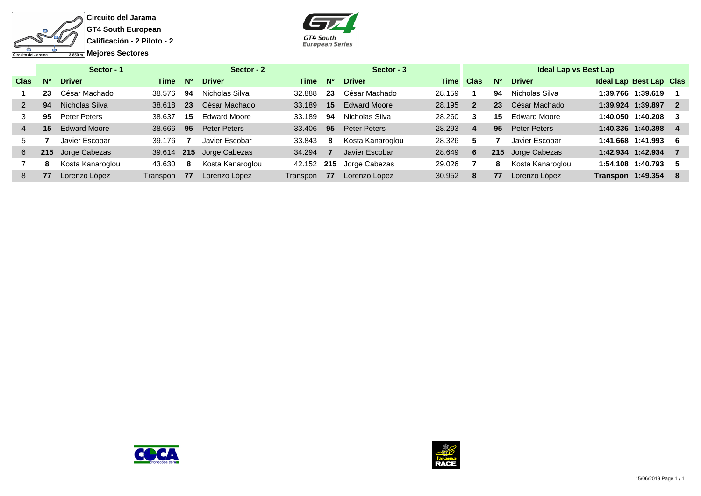



|             |           | Sector - 1          |          |             | Sector - 2          |          |             | Sector - 3          |             |                |             | Ideal Lap vs Best Lap |                                |                          |
|-------------|-----------|---------------------|----------|-------------|---------------------|----------|-------------|---------------------|-------------|----------------|-------------|-----------------------|--------------------------------|--------------------------|
| <b>Clas</b> | <b>N°</b> | <b>Driver</b>       | Time     | $N^{\circ}$ | <b>Driver</b>       | Time     | $N^{\circ}$ | <b>Driver</b>       | <b>Time</b> | <b>Clas</b>    | $N^{\circ}$ | <b>Driver</b>         | <b>Ideal Lap Best Lap Clas</b> |                          |
|             | 23        | César Machado       | 38.576   | 94          | Nicholas Silva      | 32.888   | 23          | César Machado       | 28.159      |                | 94          | Nicholas Silva        | 1:39.766 1:39.619              |                          |
|             | 94        | Nicholas Silva      | 38.618   | 23          | César Machado       | 33.189   | 15          | <b>Edward Moore</b> | 28.195      | $\overline{2}$ | 23          | César Machado         | 1:39.924 1:39.897              | $\overline{\phantom{a}}$ |
|             | 95        | Peter Peters        | 38.637   | 15          | <b>Edward Moore</b> | 33.189   | 94          | Nicholas Silva      | 28.260      | 3              | 15          | <b>Edward Moore</b>   | 1:40.050 1:40.208              |                          |
|             | 15        | <b>Edward Moore</b> | 38.666   | 95          | Peter Peters        | 33.406   | 95          | Peter Peters        | 28.293      | 4              | 95          | <b>Peter Peters</b>   | 1:40.336 1:40.398              |                          |
| 5.          |           | Javier Escobar      | 39.176   |             | Javier Escobar      | 33.843   | 8           | Kosta Kanaroglou    | 28.326      | 5              |             | Javier Escobar        | 1:41.668 1:41.993              | - 6                      |
| 6           | 215       | Jorge Cabezas       | 39.614   | 215         | Jorge Cabezas       | 34.294   |             | Javier Escobar      | 28.649      | 6              | 215         | Jorge Cabezas         | 1:42.934 1:42.934              |                          |
|             | 8         | Kosta Kanaroglou    | 43.630   | 8           | Kosta Kanaroglou    | 42.152   | 215         | Jorge Cabezas       | 29.026      |                | 8           | Kosta Kanaroglou      | 1:54.108 1:40.793              |                          |
| 8.          | 77        | Lorenzo López       | Transpon | 77          | Lorenzo López       | Transpon | 77          | Lorenzo López       | 30.952      | 8              | 77          | Lorenzo López         | Transpon 1:49.354              | - 8                      |
|             |           |                     |          |             |                     |          |             |                     |             |                |             |                       |                                |                          |



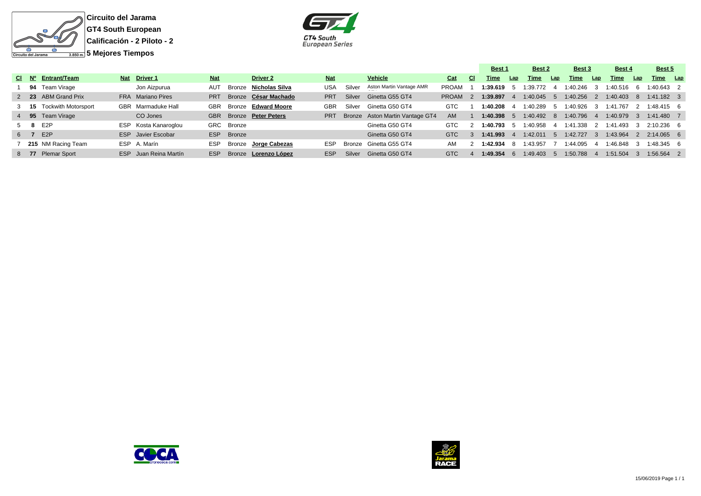



|     |                          |                       |            |               |                         |            |        |                                 |              |     | Best 1         |                | Best 2     |              | Best 3       |     | Best 4                |     | Best 5       |  |
|-----|--------------------------|-----------------------|------------|---------------|-------------------------|------------|--------|---------------------------------|--------------|-----|----------------|----------------|------------|--------------|--------------|-----|-----------------------|-----|--------------|--|
|     | CI Nº Entrant/Team       | Nat Driver 1          | <b>Nat</b> |               | <b>Driver 2</b>         | <b>Nat</b> |        | Vehicle                         | Cat          | CI. | Time           | Lap            | Time       | Lap          | Time         | Lap | Time                  | Lap | Time Lap     |  |
|     | 94 Team Virage           | Jon Aizpurua          | AUT        |               | Bronze Nicholas Silva   | USA        | Silver | Aston Martin Vantage AMR        | PROAM        |     | $1:39.619 - 5$ |                | 1:39.772   |              | $1:40.246$ 3 |     | 1:40.516              | - 6 | $1:40.643$ 2 |  |
|     | 2 23 ABM Grand Prix      | FRA Mariano Pires     | <b>PRT</b> |               | Bronze César Machado    | <b>PRT</b> | Silver | Ginetta G55 GT4                 | <b>PROAM</b> |     | :39.897        |                | 1:40.045 5 |              |              |     | 1:40.256 2 1:40.403 8 |     | $1:41.182$ 3 |  |
|     | 3 15 Tockwith Motorsport | GBR Marmaduke Hall    | GBR        |               | Bronze Edward Moore     | <b>GBR</b> | Silver | Ginetta G50 GT4                 | <b>GTC</b>   |     | 1:40.208       |                | 1:40.289   | $\mathbf{b}$ | 1:40.926     | - 3 | 1:41.767              |     | 1:48.415 6   |  |
|     | 4 95 Team Virage         | CO Jones              |            |               | GBR Bronze Peter Peters | <b>PRT</b> |        | Bronze Aston Martin Vantage GT4 | AM           |     | 1:40.398       |                | 1:40.492   | -8           | $1:40.796$ 4 |     | $1:40.979$ 3          |     | $1:41.480$ 7 |  |
|     | 5 8 E2P                  | ESP Kosta Kanaroglou  |            | GRC Bronze    |                         |            |        | Ginetta G50 GT4                 | GTC.         |     | l:40.793       | $\overline{a}$ | 1:40.958   | -4           | 1:41.338     |     | 2 1:41.493            |     | 2:10.236 6   |  |
| 6 7 | E <sub>2</sub> P         | ESP Javier Escobar    | <b>ESP</b> | <b>Bronze</b> |                         |            |        | Ginetta G50 GT4                 | <b>GTC</b>   |     | 1:41.993       |                | 1:42.011   | - 5          | 1:42.727     |     | 3 1:43.964 2          |     | $2:14.065$ 6 |  |
|     | 215 NM Racing Team       | ESP A. Marín          | <b>ESP</b> |               | Bronze Jorge Cabezas    | <b>ESP</b> |        | Bronze Ginetta G55 GT4          | AM           |     | $:42.934$ 8    |                | 1:43.957   |              | 1:44.095     |     | 1:46.848              |     | $1:48.345$ 6 |  |
|     | 8 77 Plemar Sport        | ESP Juan Reina Martín | <b>ESP</b> |               | Bronze Lorenzo López    | ESP.       | Silver | Ginetta G50 GT4                 | GTC          |     | l:49.354       |                | 1:49.403   | $5^{\circ}$  | 1:50.788     |     | 1:51.504              |     | $1:56.564$ 2 |  |



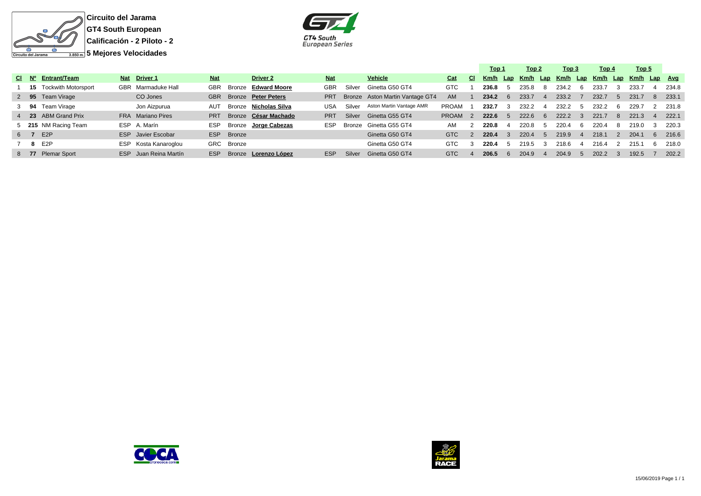



|  |                               |                           |            |            |                         |            |        |                                 |              |                | Top 1 |               | Top 2 |                | Top 3                               |              | Top 4 | Top 5        |    |       |
|--|-------------------------------|---------------------------|------------|------------|-------------------------|------------|--------|---------------------------------|--------------|----------------|-------|---------------|-------|----------------|-------------------------------------|--------------|-------|--------------|----|-------|
|  | CI Nº Entrant/Team            | Nat Driver 1              | <b>Nat</b> |            | <b>Driver 2</b>         | <b>Nat</b> |        | <b>Vehicle</b>                  | Cat          | -CI.           |       |               |       |                | Km/h Lap Km/h Lap Km/h Lap Km/h Lap |              |       | Km/h Lap Avg |    |       |
|  | <b>15</b> Tockwith Motorsport | GBR Marmaduke Hall        |            |            | GBR Bronze Edward Moore | <b>GBR</b> | Silver | Ginetta G50 GT4                 | GTC          |                | 236.8 |               | 235.8 | -8             | 234.2                               | h            | 233.7 | 233.7        |    | 234.8 |
|  | 2 95 Team Virage              | CO Jones                  |            |            | GBR Bronze Peter Peters | <b>PRT</b> |        | Bronze Aston Martin Vantage GT4 | AM.          |                | 234.2 | 6             | 233.7 | $\overline{4}$ | 233.2                               |              | 232.7 | 231.7        | -8 | 233.1 |
|  | 3 94 Team Virage              | Jon Aizpurua              | AUT        |            | Bronze Nicholas Silva   | USA        | Silver | Aston Martin Vantage AMR        | <b>PROAM</b> |                | 232.7 | 3             | 232.2 | 4              | 232.2                               | $\mathbf{h}$ | 232.2 | 229.7        |    | 231.8 |
|  | 4 23 ABM Grand Prix           | FRA Mariano Pires         | <b>PRT</b> |            | Bronze César Machado    | <b>PRT</b> | Silver | Ginetta G55 GT4                 | <b>PROAM</b> | $\overline{2}$ | 222.6 | .5            | 222.6 | 6              | 222.2                               | $\cdot$ 3    | 221.7 | 221.3        |    | 222.1 |
|  | 5 215 NM Racing Team          | ESP A. Marín              | <b>ESP</b> |            | Bronze Jorge Cabezas    | <b>ESP</b> |        | Bronze Ginetta G55 GT4          | AM           |                | 220.8 |               | 220.8 | $\mathbf{h}$   | 220.4                               | -6           | 220.4 | 219.0        |    | 220.3 |
|  | 6 7 E2P                       | <b>ESP</b> Javier Escobar | <b>ESP</b> | Bronze     |                         |            |        | Ginetta G50 GT4                 | GTC          | $\mathcal{P}$  | 220.4 | 3             | 220.4 | -5             | 219.9                               | $\mathbf{A}$ | 218.1 | 204.1        | 6  | 216.6 |
|  | 7 8 E2P                       | ESP Kosta Kanaroglou      |            | GRC Bronze |                         |            |        | Ginetta G50 GT4                 | <b>GTC</b>   |                | 220.4 | $\mathcal{P}$ | 219.5 | -3             | 218.6                               |              | 216.4 | 215.1        | 6  | 218.0 |
|  | 8 77 Plemar Sport             | ESP Juan Reina Martín     | <b>ESP</b> |            | Bronze Lorenzo López    | <b>ESP</b> | Silver | Ginetta G50 GT4                 | <b>GTC</b>   |                | 206.5 | -6            | 204.9 | $\overline{4}$ | 204.9                               | $\mathbf b$  | 202.2 | 192.5        |    | 202.2 |



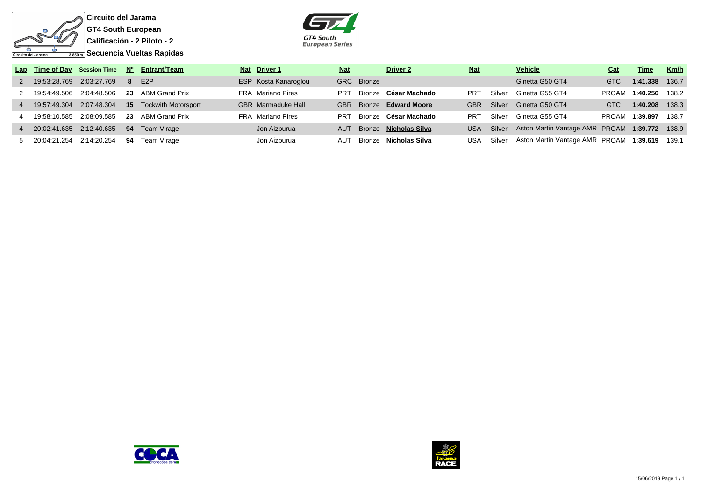

**Circuito del Jarama GT4 South European Calificación - 2 Piloto - 2 Secuencia Vueltas Rapidas**



|                |                              |                                           |    | Lap Time of Day Session Time Nº Entrant/Team    | Nat Driver 1              | <b>Nat</b> |            | <b>Driver 2</b>              | <b>Nat</b> |        | <b>Vehicle</b>                                | Cat          | <b>Time</b>    | Km/h  |
|----------------|------------------------------|-------------------------------------------|----|-------------------------------------------------|---------------------------|------------|------------|------------------------------|------------|--------|-----------------------------------------------|--------------|----------------|-------|
|                | 2  19:53:28.769  2:03:27.769 |                                           |    | 8 E2P                                           | ESP Kosta Kanaroglou      |            | GRC Bronze |                              |            |        | Ginetta G50 GT4                               | <b>GTC</b>   | 1:41.338       | 136.7 |
|                | 2  19:54:49.506  2:04:48.506 |                                           |    | 23 ABM Grand Prix                               | FRA Mariano Pires         | <b>PRT</b> |            | Bronze César Machado         | PRT        | Silver | Ginetta G55 GT4                               | <b>PROAM</b> | 1:40.256 138.2 |       |
| $\overline{4}$ |                              |                                           |    | 19:57:49.304 2:07:48.304 15 Tockwith Motorsport | <b>GBR</b> Marmaduke Hall |            |            | GBR Bronze Edward Moore      | GBR.       | Silver | Ginetta G50 GT4                               | <b>GTC</b>   | 1:40.208       | 138.3 |
|                |                              |                                           |    | 23 ABM Grand Prix                               | FRA Mariano Pires         | <b>PRT</b> |            | Bronze César Machado         | PRT        | Silver | Ginetta G55 GT4                               | PROAM        | 1:39.897       | 138.7 |
|                |                              | 4 20:02:41.635 2:12:40.635 94 Team Virage |    |                                                 | Jon Aizpurua              | <b>AUT</b> |            | Bronze <b>Nicholas Silva</b> | <b>USA</b> | Silver | Aston Martin Vantage AMR PROAM 1:39.772 138.9 |              |                |       |
|                |                              | 5 20:04:21.254 2:14:20.254                | 94 | Team Virage                                     | Jon Aizpurua              | AUT        |            | Bronze Nicholas Silva        | USA        | Silver | Aston Martin Vantage AMR PROAM 1:39.619 139.1 |              |                |       |



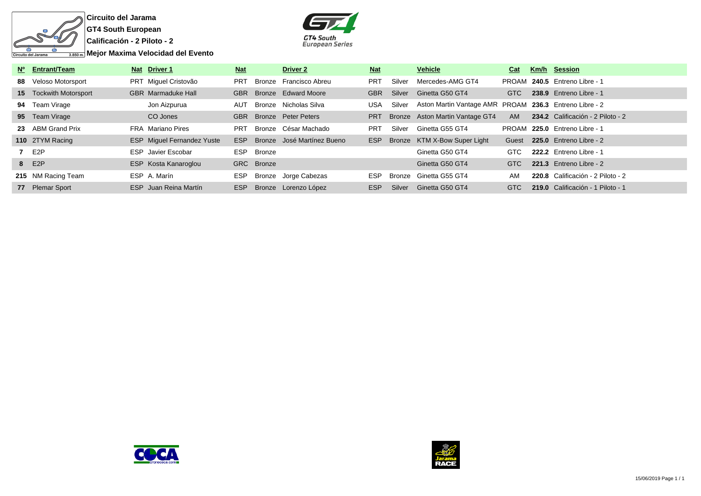



| Nº Entrant/Team               | Nat Driver 1                      | <b>Nat</b> |            | <b>Driver 2</b>            | <u>Nat</u> |        | <b>Vehicle</b>                                         | Cat       | Km/h Session                      |
|-------------------------------|-----------------------------------|------------|------------|----------------------------|------------|--------|--------------------------------------------------------|-----------|-----------------------------------|
| 88 Veloso Motorsport          | PRT Miquel Cristovão              | <b>PRT</b> | Bronze     | Francisco Abreu            | <b>PRT</b> | Silver | Mercedes-AMG GT4                                       |           | PROAM 240.5 Entreno Libre - 1     |
| <b>15</b> Tockwith Motorsport | <b>GBR</b> Marmaduke Hall         | <b>GBR</b> |            | Bronze Edward Moore        | <b>GBR</b> | Silver | Ginetta G50 GT4                                        | GTC       | 238.9 Entreno Libre - 1           |
| 94 Team Virage                | Jon Aizpurua                      | AUT        |            | Bronze Nicholas Silva      | <b>USA</b> | Silver | Aston Martin Vantage AMR PROAM 236.3 Entreno Libre - 2 |           |                                   |
| 95 Team Virage                | CO Jones                          | <b>GBR</b> |            | Bronze Peter Peters        | <b>PRT</b> |        | Bronze Aston Martin Vantage GT4                        | <b>AM</b> | 234.2 Calificación - 2 Piloto - 2 |
| 23 ABM Grand Prix             | <b>FRA</b> Mariano Pires          | PRT        |            | Bronze César Machado       | <b>PRT</b> | Silver | Ginetta G55 GT4                                        | PROAM     | <b>225.0 Entreno Libre - 1</b>    |
| 110 2TYM Racing               | <b>ESP</b> Miguel Fernandez Yuste | ESP        |            | Bronze José Martínez Bueno | ESP        |        | Bronze KTM X-Bow Super Light                           | Guest     | 225.0 Entreno Libre - 2           |
| 7 E2P                         | <b>ESP</b> Javier Escobar         | <b>ESP</b> | Bronze     |                            |            |        | Ginetta G50 GT4                                        | GTC       | 222.2 Entreno Libre - 1           |
| 8 E2P                         | ESP Kosta Kanaroglou              |            | GRC Bronze |                            |            |        | Ginetta G50 GT4                                        | GTC       | 221.3 Entreno Libre - 2           |
| 215 NM Racing Team            | ESP A. Marín                      | <b>ESP</b> |            | Bronze Jorge Cabezas       | <b>ESP</b> | Bronze | Ginetta G55 GT4                                        | AM        | 220.8 Calificación - 2 Piloto - 2 |
| 77 Plemar Sport               | ESP Juan Reina Martín             | <b>ESP</b> |            | Bronze Lorenzo López       | ESP        | Silver | Ginetta G50 GT4                                        | GTC       | 219.0 Calificación - 1 Piloto - 1 |